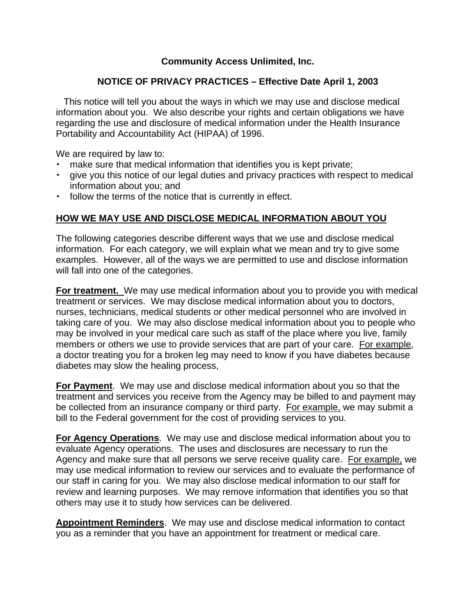## **Community Access Unlimited, Inc.**

### **NOTICE OF PRIVACY PRACTICES – Effective Date April 1, 2003**

 This notice will tell you about the ways in which we may use and disclose medical information about you. We also describe your rights and certain obligations we have regarding the use and disclosure of medical information under the Health Insurance Portability and Accountability Act (HIPAA) of 1996.

We are required by law to:

- make sure that medical information that identifies you is kept private;
- give you this notice of our legal duties and privacy practices with respect to medical information about you; and
- $\cdot$  follow the terms of the notice that is currently in effect.

#### **HOW WE MAY USE AND DISCLOSE MEDICAL INFORMATION ABOUT YOU**

The following categories describe different ways that we use and disclose medical information. For each category, we will explain what we mean and try to give some examples. However, all of the ways we are permitted to use and disclose information will fall into one of the categories.

**For treatment.** We may use medical information about you to provide you with medical treatment or services. We may disclose medical information about you to doctors, nurses, technicians, medical students or other medical personnel who are involved in taking care of you. We may also disclose medical information about you to people who may be involved in your medical care such as staff of the place where you live, family members or others we use to provide services that are part of your care. For example, a doctor treating you for a broken leg may need to know if you have diabetes because diabetes may slow the healing process,

**For Payment**. We may use and disclose medical information about you so that the treatment and services you receive from the Agency may be billed to and payment may be collected from an insurance company or third party. For example, we may submit a bill to the Federal government for the cost of providing services to you.

**For Agency Operations**. We may use and disclose medical information about you to evaluate Agency operations. The uses and disclosures are necessary to run the Agency and make sure that all persons we serve receive quality care. For example, we may use medical information to review our services and to evaluate the performance of our staff in caring for you. We may also disclose medical information to our staff for review and learning purposes. We may remove information that identifies you so that others may use it to study how services can be delivered.

**Appointment Reminders**. We may use and disclose medical information to contact you as a reminder that you have an appointment for treatment or medical care.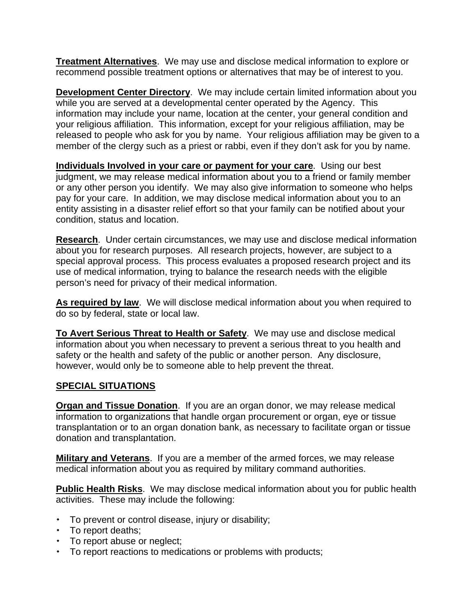**Treatment Alternatives**. We may use and disclose medical information to explore or recommend possible treatment options or alternatives that may be of interest to you.

**Development Center Directory**. We may include certain limited information about you while you are served at a developmental center operated by the Agency. This information may include your name, location at the center, your general condition and your religious affiliation. This information, except for your religious affiliation, may be released to people who ask for you by name. Your religious affiliation may be given to a member of the clergy such as a priest or rabbi, even if they don't ask for you by name.

**Individuals Involved in your care or payment for your care**. Using our best judgment, we may release medical information about you to a friend or family member or any other person you identify. We may also give information to someone who helps pay for your care. In addition, we may disclose medical information about you to an entity assisting in a disaster relief effort so that your family can be notified about your condition, status and location.

**Research**. Under certain circumstances, we may use and disclose medical information about you for research purposes. All research projects, however, are subject to a special approval process. This process evaluates a proposed research project and its use of medical information, trying to balance the research needs with the eligible person's need for privacy of their medical information.

**As required by law**. We will disclose medical information about you when required to do so by federal, state or local law.

**To Avert Serious Threat to Health or Safety**. We may use and disclose medical information about you when necessary to prevent a serious threat to you health and safety or the health and safety of the public or another person. Any disclosure, however, would only be to someone able to help prevent the threat.

#### **SPECIAL SITUATIONS**

**Organ and Tissue Donation**. If you are an organ donor, we may release medical information to organizations that handle organ procurement or organ, eye or tissue transplantation or to an organ donation bank, as necessary to facilitate organ or tissue donation and transplantation.

**Military and Veterans**. If you are a member of the armed forces, we may release medical information about you as required by military command authorities.

**Public Health Risks**. We may disclose medical information about you for public health activities. These may include the following:

- To prevent or control disease, injury or disability;
- To report deaths;
- To report abuse or neglect;
- To report reactions to medications or problems with products;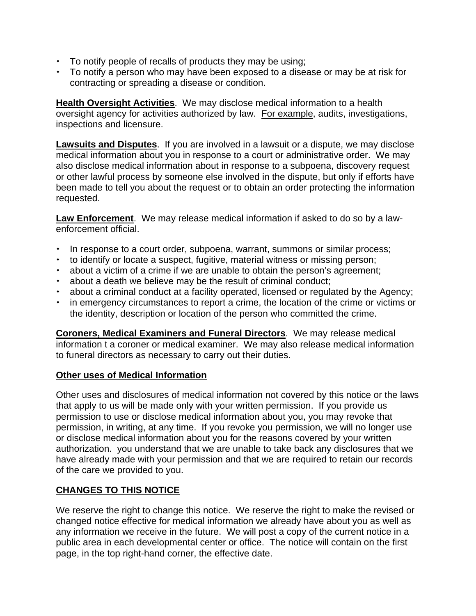- To notify people of recalls of products they may be using;
- To notify a person who may have been exposed to a disease or may be at risk for contracting or spreading a disease or condition.

**Health Oversight Activities**. We may disclose medical information to a health oversight agency for activities authorized by law. For example, audits, investigations, inspections and licensure.

**Lawsuits and Disputes**. If you are involved in a lawsuit or a dispute, we may disclose medical information about you in response to a court or administrative order. We may also disclose medical information about in response to a subpoena, discovery request or other lawful process by someone else involved in the dispute, but only if efforts have been made to tell you about the request or to obtain an order protecting the information requested.

**Law Enforcement**. We may release medical information if asked to do so by a lawenforcement official.

- In response to a court order, subpoena, warrant, summons or similar process;
- to identify or locate a suspect, fugitive, material witness or missing person;
- about a victim of a crime if we are unable to obtain the person's agreement;
- about a death we believe may be the result of criminal conduct;
- about a criminal conduct at a facility operated, licensed or regulated by the Agency;
- in emergency circumstances to report a crime, the location of the crime or victims or the identity, description or location of the person who committed the crime.

**Coroners, Medical Examiners and Funeral Directors**. We may release medical information t a coroner or medical examiner. We may also release medical information to funeral directors as necessary to carry out their duties.

## **Other uses of Medical Information**

Other uses and disclosures of medical information not covered by this notice or the laws that apply to us will be made only with your written permission. If you provide us permission to use or disclose medical information about you, you may revoke that permission, in writing, at any time. If you revoke you permission, we will no longer use or disclose medical information about you for the reasons covered by your written authorization. you understand that we are unable to take back any disclosures that we have already made with your permission and that we are required to retain our records of the care we provided to you.

## **CHANGES TO THIS NOTICE**

We reserve the right to change this notice. We reserve the right to make the revised or changed notice effective for medical information we already have about you as well as any information we receive in the future. We will post a copy of the current notice in a public area in each developmental center or office. The notice will contain on the first page, in the top right-hand corner, the effective date.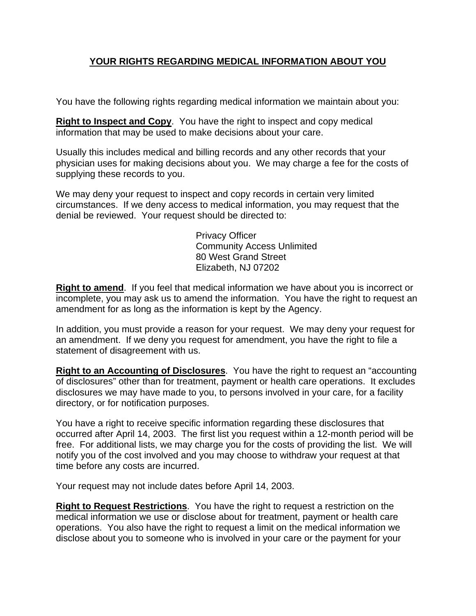# **YOUR RIGHTS REGARDING MEDICAL INFORMATION ABOUT YOU**

You have the following rights regarding medical information we maintain about you:

**Right to Inspect and Copy**. You have the right to inspect and copy medical information that may be used to make decisions about your care.

Usually this includes medical and billing records and any other records that your physician uses for making decisions about you. We may charge a fee for the costs of supplying these records to you.

We may deny your request to inspect and copy records in certain very limited circumstances. If we deny access to medical information, you may request that the denial be reviewed. Your request should be directed to:

> Privacy Officer Community Access Unlimited 80 West Grand Street Elizabeth, NJ 07202

**Right to amend**. If you feel that medical information we have about you is incorrect or incomplete, you may ask us to amend the information. You have the right to request an amendment for as long as the information is kept by the Agency.

In addition, you must provide a reason for your request. We may deny your request for an amendment. If we deny you request for amendment, you have the right to file a statement of disagreement with us.

**Right to an Accounting of Disclosures**. You have the right to request an "accounting of disclosures" other than for treatment, payment or health care operations. It excludes disclosures we may have made to you, to persons involved in your care, for a facility directory, or for notification purposes.

You have a right to receive specific information regarding these disclosures that occurred after April 14, 2003. The first list you request within a 12-month period will be free. For additional lists, we may charge you for the costs of providing the list. We will notify you of the cost involved and you may choose to withdraw your request at that time before any costs are incurred.

Your request may not include dates before April 14, 2003.

**Right to Request Restrictions**. You have the right to request a restriction on the medical information we use or disclose about for treatment, payment or health care operations. You also have the right to request a limit on the medical information we disclose about you to someone who is involved in your care or the payment for your